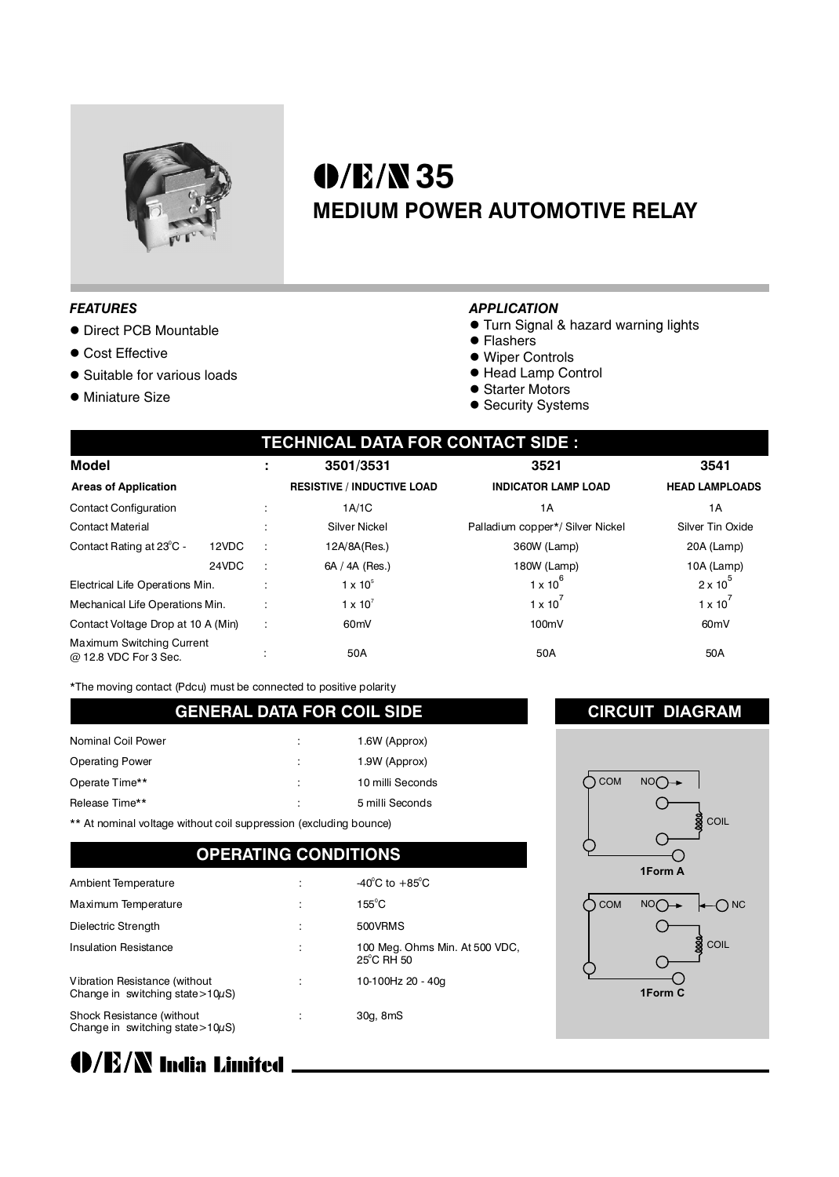

# **35 MEDIUM POWER AUTOMOTIVE RELAY**

#### *FEATURES*

- Direct PCB Mountable
- Cost Effective
- Suitable for various loads
- **· Miniature Size**

#### *APPLICATION*

- **Turn Signal & hazard warning lights**
- Flashers
- Wiper Controls
- Head Lamp Control
- Starter Motors
- Security Systems

| <b>TECHNICAL DATA FOR CONTACT SIDE :</b>                  |       |   |                                   |                                  |                       |  |  |  |
|-----------------------------------------------------------|-------|---|-----------------------------------|----------------------------------|-----------------------|--|--|--|
| <b>Model</b>                                              |       |   | 3501/3531                         | 3521                             | 3541                  |  |  |  |
| <b>Areas of Application</b>                               |       |   | <b>RESISTIVE / INDUCTIVE LOAD</b> | <b>INDICATOR LAMP LOAD</b>       | <b>HEAD LAMPLOADS</b> |  |  |  |
| <b>Contact Configuration</b>                              |       |   | 1A/1C                             | 1 A                              | 1A                    |  |  |  |
| <b>Contact Material</b>                                   |       |   | <b>Silver Nickel</b>              | Palladium copper*/ Silver Nickel | Silver Tin Oxide      |  |  |  |
| Contact Rating at 23°C -                                  | 12VDC |   | 12A/8A(Res.)                      | 360W (Lamp)                      | 20A (Lamp)            |  |  |  |
|                                                           | 24VDC |   | 6A / 4A (Res.)                    | 180W (Lamp)                      | 10A (Lamp)            |  |  |  |
| Electrical Life Operations Min.                           |       |   | $1 \times 10^5$                   | $1 \times 10^6$                  | $2 \times 10^5$       |  |  |  |
| Mechanical Life Operations Min.                           |       |   | $1 \times 10^{7}$                 | $1 \times 10^{-7}$               | $1 \times 10^{7}$     |  |  |  |
| Contact Voltage Drop at 10 A (Min)                        |       | ÷ | 60 <sub>m</sub> V                 | 100mV                            | 60 <sub>m</sub> V     |  |  |  |
| <b>Maximum Switching Current</b><br>@ 12.8 VDC For 3 Sec. |       |   | 50A                               | 50A                              | 50A                   |  |  |  |

\*The moving contact (Pdcu) must be connected to positive polarity

#### **GENERAL DATA FOR COIL SIDE**

| Nominal Coil Power     | ٠<br>÷ | 1.6W (Approx)    |
|------------------------|--------|------------------|
| <b>Operating Power</b> | ÷      | 1.9W (Approx)    |
| Operate Time**         | ÷      | 10 milli Seconds |
| Release Time**         | ÷      | 5 milli Seconds  |
|                        |        |                  |

\*\* At nominal voltage without coil suppression (excluding bounce)

### **OPERATING CONDITIONS**

| Ambient Temperature                                                      | $-40^{\circ}$ C to $+85^{\circ}$ C                     |
|--------------------------------------------------------------------------|--------------------------------------------------------|
| Maximum Temperature                                                      | $155^{\circ}$ C                                        |
| Dielectric Strength                                                      | 500VRMS                                                |
| <b>Insulation Resistance</b>                                             | 100 Meg. Ohms Min. At 500 VDC,<br>$25^{\circ}$ C RH 50 |
| Vibration Resistance (without)<br>Change in switching state > $10\mu$ S) | 10-100Hz 20 - 40g                                      |
| Shock Resistance (without<br>Change in switching state > $10\mu$ S)      | 30g, 8mS                                               |

## **CIRCUIT DIAGRAM**



(D/E/N India Limited \_\_\_\_\_